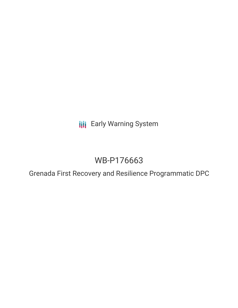**III** Early Warning System

# WB-P176663

Grenada First Recovery and Resilience Programmatic DPC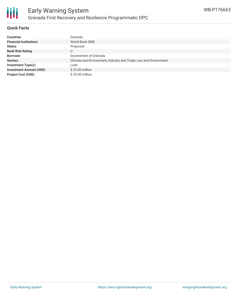

#### **Quick Facts**

| <b>Countries</b>               | Grenada                                                         |
|--------------------------------|-----------------------------------------------------------------|
| <b>Financial Institutions</b>  | World Bank (WB)                                                 |
| <b>Status</b>                  | Proposed                                                        |
| <b>Bank Risk Rating</b>        | U                                                               |
| <b>Borrower</b>                | Government of Grenada                                           |
| <b>Sectors</b>                 | Climate and Environment, Industry and Trade, Law and Government |
| <b>Investment Type(s)</b>      | Loan                                                            |
| <b>Investment Amount (USD)</b> | \$25.00 million                                                 |
| <b>Project Cost (USD)</b>      | \$25.00 million                                                 |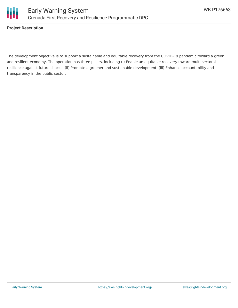

#### **Project Description**

The development objective is to support a sustainable and equitable recovery from the COVID-19 pandemic toward a green and resilient economy. The operation has three pillars, including (i) Enable an equitable recovery toward multi-sectoral resilience against future shocks; (ii) Promote a greener and sustainable development; (iii) Enhance accountability and transparency in the public sector.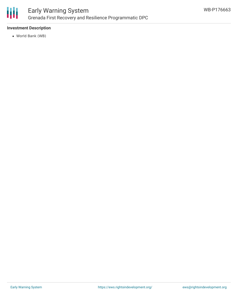

# Early Warning System Grenada First Recovery and Resilience Programmatic DPC

## **Investment Description**

World Bank (WB)